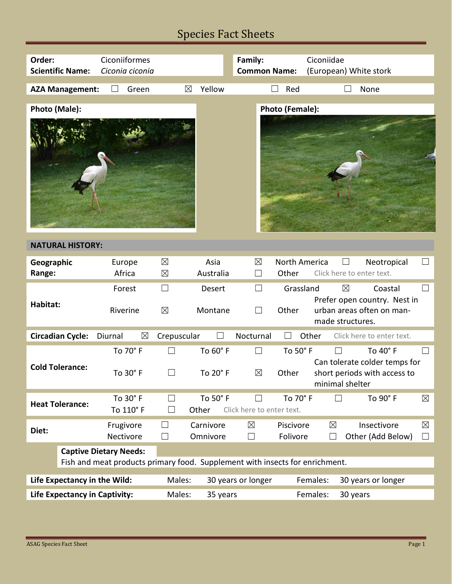# Species Fact Sheets

| Order:<br><b>Scientific Name:</b>                                                                             | Ciconiiformes<br>Ciconia ciconia |                            |                       | Family:<br><b>Common Name:</b> |                                | Ciconiidae<br>(European) White stork                                                                    |                       |  |  |
|---------------------------------------------------------------------------------------------------------------|----------------------------------|----------------------------|-----------------------|--------------------------------|--------------------------------|---------------------------------------------------------------------------------------------------------|-----------------------|--|--|
| <b>AZA Management:</b>                                                                                        | Green                            | $\boxtimes$                | Yellow                |                                | Red                            | None                                                                                                    |                       |  |  |
| Photo (Male):                                                                                                 |                                  |                            |                       |                                | Photo (Female):                |                                                                                                         |                       |  |  |
| <b>NATURAL HISTORY:</b>                                                                                       |                                  |                            |                       |                                |                                |                                                                                                         |                       |  |  |
| Geographic<br>Range:                                                                                          | Europe<br>Africa                 | $\boxtimes$<br>$\boxtimes$ | Asia<br>Australia     | $\boxtimes$<br>$\Box$          | North America<br>Other         | Neotropical<br>Click here to enter text.                                                                | $\perp$               |  |  |
| Habitat:                                                                                                      | Forest<br>Riverine               | $\Box$<br>$\boxtimes$      | Desert<br>Montane     | П                              | Grassland<br>Other             | $\boxtimes$<br>Coastal<br>Prefer open country. Nest in<br>urban areas often on man-<br>made structures. | $\Box$                |  |  |
| <b>Circadian Cycle:</b>                                                                                       | $\boxtimes$<br>Diurnal           | Crepuscular                |                       | Nocturnal                      |                                | Other<br>Click here to enter text.                                                                      |                       |  |  |
| <b>Cold Tolerance:</b>                                                                                        | To 70° F<br>To 30° F             |                            | To 60° F<br>To 20° F  | $\boxtimes$                    | To 50° F<br>Other              | To 40° F<br>Can tolerate colder temps for<br>short periods with access to<br>minimal shelter            |                       |  |  |
| <b>Heat Tolerance:</b>                                                                                        | To 30° F<br>To 110° F            | $\Box$<br>$\Box$           | To 50° F<br>Other     | Click here to enter text.      | To 70° F                       | $\Box$<br>To 90° F                                                                                      | $\boxtimes$           |  |  |
| Diet:                                                                                                         | Frugivore<br>Nectivore           | $\Box$<br>$\Box$           | Carnivore<br>Omnivore | $\boxtimes$<br>$\Box$          | Piscivore<br>Folivore          | $\boxtimes$<br>Insectivore<br>Other (Add Below)<br>$\Box$                                               | $\boxtimes$<br>$\Box$ |  |  |
| <b>Captive Dietary Needs:</b><br>Fish and meat products primary food. Supplement with insects for enrichment. |                                  |                            |                       |                                |                                |                                                                                                         |                       |  |  |
| Life Expectancy in the Wild:                                                                                  |                                  | Males:                     | 30 years or longer    |                                | Females:<br>30 years or longer |                                                                                                         |                       |  |  |
| Life Expectancy in Captivity:                                                                                 |                                  | Males:<br>35 years         |                       |                                | Females:<br>30 years           |                                                                                                         |                       |  |  |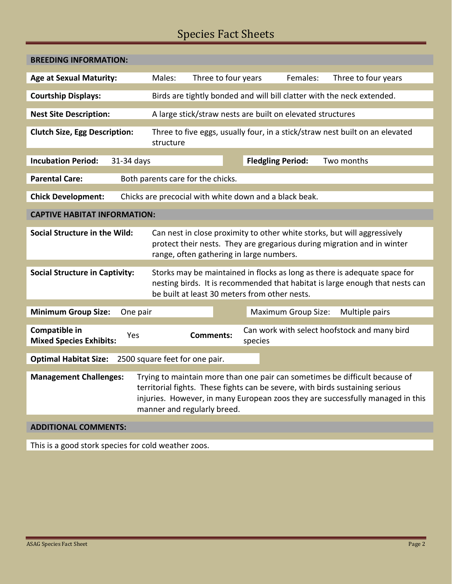# Species Fact Sheets

| <b>BREEDING INFORMATION:</b>                                                                                                                                                                                                                                                                                   |                                                        |                                                                                                                                                                                                            |                          |                                              |  |  |  |  |
|----------------------------------------------------------------------------------------------------------------------------------------------------------------------------------------------------------------------------------------------------------------------------------------------------------------|--------------------------------------------------------|------------------------------------------------------------------------------------------------------------------------------------------------------------------------------------------------------------|--------------------------|----------------------------------------------|--|--|--|--|
| <b>Age at Sexual Maturity:</b>                                                                                                                                                                                                                                                                                 | Males:                                                 | Three to four years                                                                                                                                                                                        | Females:                 | Three to four years                          |  |  |  |  |
| <b>Courtship Displays:</b>                                                                                                                                                                                                                                                                                     |                                                        | Birds are tightly bonded and will bill clatter with the neck extended.                                                                                                                                     |                          |                                              |  |  |  |  |
| <b>Nest Site Description:</b>                                                                                                                                                                                                                                                                                  |                                                        | A large stick/straw nests are built on elevated structures                                                                                                                                                 |                          |                                              |  |  |  |  |
| <b>Clutch Size, Egg Description:</b>                                                                                                                                                                                                                                                                           | structure                                              | Three to five eggs, usually four, in a stick/straw nest built on an elevated                                                                                                                               |                          |                                              |  |  |  |  |
| <b>Incubation Period:</b><br>31-34 days                                                                                                                                                                                                                                                                        |                                                        |                                                                                                                                                                                                            | <b>Fledgling Period:</b> | Two months                                   |  |  |  |  |
| <b>Parental Care:</b>                                                                                                                                                                                                                                                                                          | Both parents care for the chicks.                      |                                                                                                                                                                                                            |                          |                                              |  |  |  |  |
| <b>Chick Development:</b>                                                                                                                                                                                                                                                                                      | Chicks are precocial with white down and a black beak. |                                                                                                                                                                                                            |                          |                                              |  |  |  |  |
| <b>CAPTIVE HABITAT INFORMATION:</b>                                                                                                                                                                                                                                                                            |                                                        |                                                                                                                                                                                                            |                          |                                              |  |  |  |  |
| <b>Social Structure in the Wild:</b>                                                                                                                                                                                                                                                                           |                                                        | Can nest in close proximity to other white storks, but will aggressively<br>protect their nests. They are gregarious during migration and in winter<br>range, often gathering in large numbers.            |                          |                                              |  |  |  |  |
| <b>Social Structure in Captivity:</b>                                                                                                                                                                                                                                                                          |                                                        | Storks may be maintained in flocks as long as there is adequate space for<br>nesting birds. It is recommended that habitat is large enough that nests can<br>be built at least 30 meters from other nests. |                          |                                              |  |  |  |  |
| <b>Minimum Group Size:</b><br>One pair                                                                                                                                                                                                                                                                         |                                                        | <b>Maximum Group Size:</b><br>Multiple pairs                                                                                                                                                               |                          |                                              |  |  |  |  |
| Compatible in<br>Yes<br><b>Mixed Species Exhibits:</b>                                                                                                                                                                                                                                                         |                                                        | <b>Comments:</b><br>species                                                                                                                                                                                |                          | Can work with select hoofstock and many bird |  |  |  |  |
| <b>Optimal Habitat Size:</b><br>2500 square feet for one pair.                                                                                                                                                                                                                                                 |                                                        |                                                                                                                                                                                                            |                          |                                              |  |  |  |  |
| <b>Management Challenges:</b><br>Trying to maintain more than one pair can sometimes be difficult because of<br>territorial fights. These fights can be severe, with birds sustaining serious<br>injuries. However, in many European zoos they are successfully managed in this<br>manner and regularly breed. |                                                        |                                                                                                                                                                                                            |                          |                                              |  |  |  |  |
| <b>ADDITIONAL COMMENTS:</b>                                                                                                                                                                                                                                                                                    |                                                        |                                                                                                                                                                                                            |                          |                                              |  |  |  |  |
| والملحوم ووجائه والمناجر                                                                                                                                                                                                                                                                                       |                                                        |                                                                                                                                                                                                            |                          |                                              |  |  |  |  |

This is a good stork species for cold weather zoos.